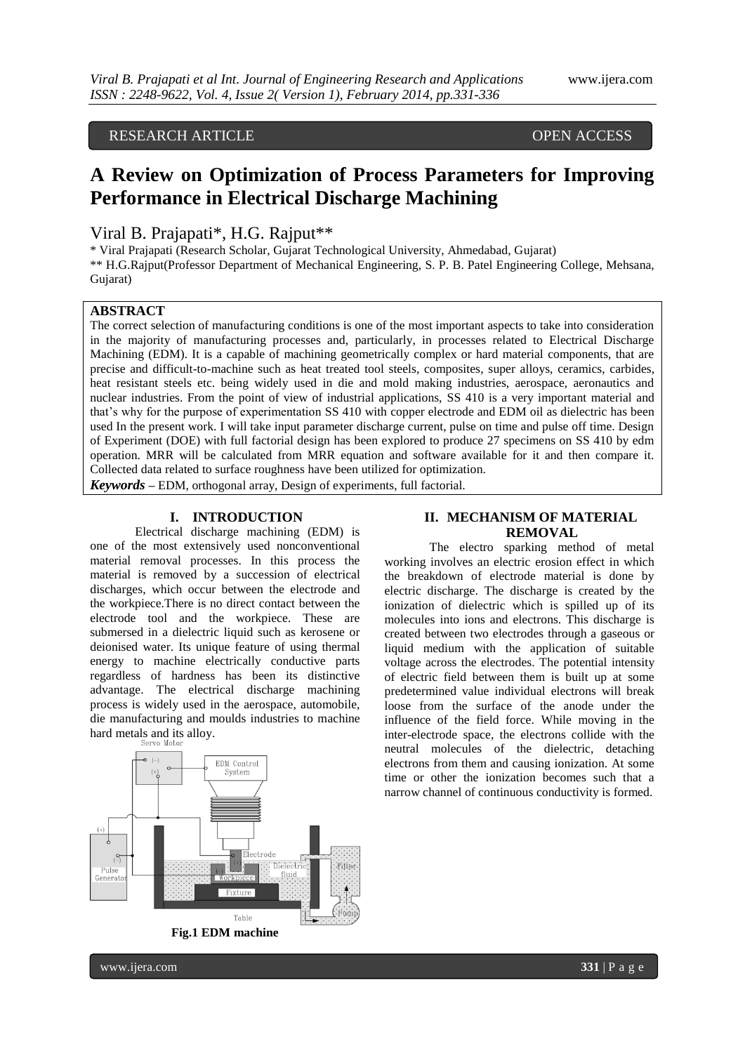# RESEARCH ARTICLE OPEN ACCESS

# **A Review on Optimization of Process Parameters for Improving Performance in Electrical Discharge Machining**

# Viral B. Prajapati\*, H.G. Rajput\*\*

\* Viral Prajapati (Research Scholar, Gujarat Technological University, Ahmedabad, Gujarat) \*\* H.G.Rajput(Professor Department of Mechanical Engineering, S. P. B. Patel Engineering College, Mehsana, Gujarat)

### **ABSTRACT**

The correct selection of manufacturing conditions is one of the most important aspects to take into consideration in the majority of manufacturing processes and, particularly, in processes related to Electrical Discharge Machining (EDM). It is a capable of machining geometrically complex or hard material components, that are precise and difficult-to-machine such as heat treated tool steels, composites, super alloys, ceramics, carbides, heat resistant steels etc. being widely used in die and mold making industries, aerospace, aeronautics and nuclear industries. From the point of view of industrial applications, SS 410 is a very important material and that's why for the purpose of experimentation SS 410 with copper electrode and EDM oil as dielectric has been used In the present work. I will take input parameter discharge current, pulse on time and pulse off time. Design of Experiment (DOE) with full factorial design has been explored to produce 27 specimens on SS 410 by edm operation. MRR will be calculated from MRR equation and software available for it and then compare it. Collected data related to surface roughness have been utilized for optimization.

*Keywords* **–** EDM, orthogonal array, Design of experiments, full factorial.

#### **I. INTRODUCTION**

Electrical discharge machining (EDM) is one of the most extensively used nonconventional material removal processes. In this process the material is removed by a succession of electrical discharges, which occur between the electrode and the workpiece.There is no direct contact between the electrode tool and the workpiece. These are submersed in a dielectric liquid such as kerosene or deionised water. Its unique feature of using thermal energy to machine electrically conductive parts regardless of hardness has been its distinctive advantage. The electrical discharge machining process is widely used in the aerospace, automobile, die manufacturing and moulds industries to machine hard metals and its alloy.



**Fig.1 EDM machine**

#### **II. MECHANISM OF MATERIAL REMOVAL**

The electro sparking method of metal working involves an electric erosion effect in which the breakdown of electrode material is done by electric discharge. The discharge is created by the ionization of dielectric which is spilled up of its molecules into ions and electrons. This discharge is created between two electrodes through a gaseous or liquid medium with the application of suitable voltage across the electrodes. The potential intensity of electric field between them is built up at some predetermined value individual electrons will break loose from the surface of the anode under the influence of the field force. While moving in the inter-electrode space, the electrons collide with the neutral molecules of the dielectric, detaching electrons from them and causing ionization. At some time or other the ionization becomes such that a narrow channel of continuous conductivity is formed.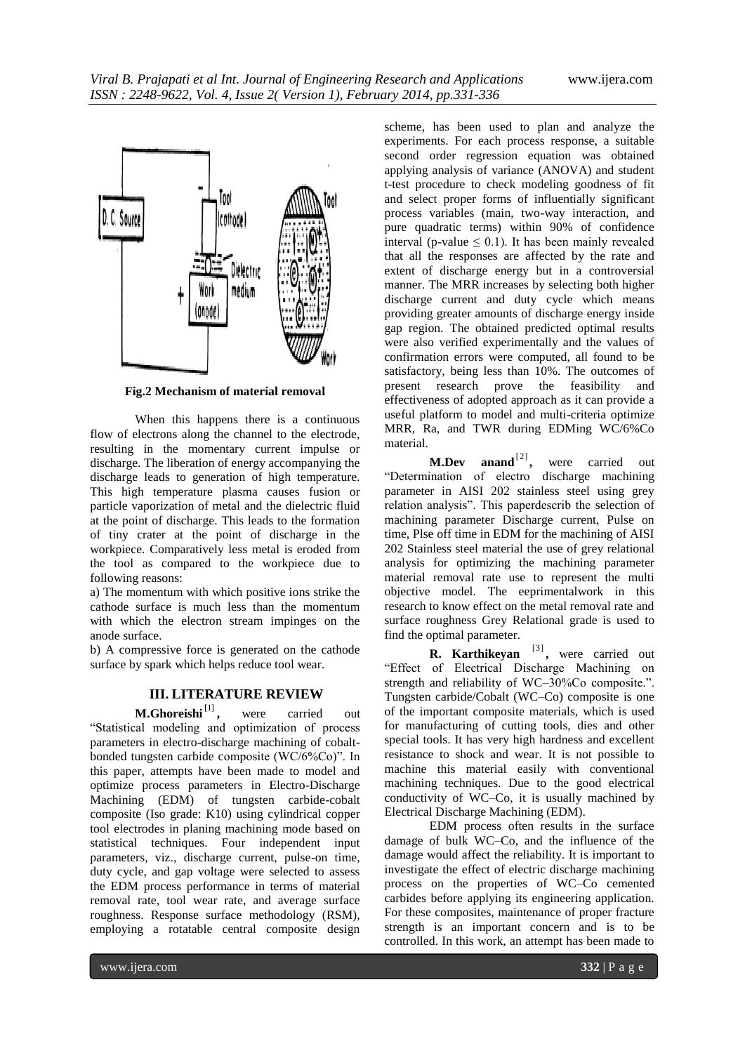

**Fig.2 Mechanism of material removal**

When this happens there is a continuous flow of electrons along the channel to the electrode, resulting in the momentary current impulse or discharge. The liberation of energy accompanying the discharge leads to generation of high temperature. This high temperature plasma causes fusion or particle vaporization of metal and the dielectric fluid at the point of discharge. This leads to the formation of tiny crater at the point of discharge in the workpiece. Comparatively less metal is eroded from the tool as compared to the workpiece due to following reasons:

a) The momentum with which positive ions strike the cathode surface is much less than the momentum with which the electron stream impinges on the anode surface.

b) A compressive force is generated on the cathode surface by spark which helps reduce tool wear.

#### **III. LITERATURE REVIEW**

**M.Ghoreishi** [1] **,** were carried out "Statistical modeling and optimization of process parameters in electro-discharge machining of cobaltbonded tungsten carbide composite (WC/6%Co)". In this paper, attempts have been made to model and optimize process parameters in Electro-Discharge Machining (EDM) of tungsten carbide-cobalt composite (Iso grade: K10) using cylindrical copper tool electrodes in planing machining mode based on statistical techniques. Four independent input parameters, viz., discharge current, pulse-on time, duty cycle, and gap voltage were selected to assess the EDM process performance in terms of material removal rate, tool wear rate, and average surface roughness. Response surface methodology (RSM), employing a rotatable central composite design

scheme, has been used to plan and analyze the experiments. For each process response, a suitable second order regression equation was obtained applying analysis of variance (ANOVA) and student t-test procedure to check modeling goodness of fit and select proper forms of influentially significant process variables (main, two-way interaction, and pure quadratic terms) within 90% of confidence interval (p-value  $\leq$  0.1). It has been mainly revealed that all the responses are affected by the rate and extent of discharge energy but in a controversial manner. The MRR increases by selecting both higher discharge current and duty cycle which means providing greater amounts of discharge energy inside gap region. The obtained predicted optimal results were also verified experimentally and the values of confirmation errors were computed, all found to be satisfactory, being less than 10%. The outcomes of present research prove the feasibility and effectiveness of adopted approach as it can provide a useful platform to model and multi-criteria optimize MRR, Ra, and TWR during EDMing WC/6%Co material.

**M.Dev anand**<sup>[2]</sup>, were carried out "Determination of electro discharge machining parameter in AISI 202 stainless steel using grey relation analysis". This paperdescrib the selection of machining parameter Discharge current, Pulse on time, Plse off time in EDM for the machining of AISI 202 Stainless steel material the use of grey relational analysis for optimizing the machining parameter material removal rate use to represent the multi objective model. The eeprimentalwork in this research to know effect on the metal removal rate and surface roughness Grey Relational grade is used to find the optimal parameter.

**R. Karthikeyan** <sup>[3]</sup>, were carried out "Effect of Electrical Discharge Machining on strength and reliability of WC–30%Co composite.". Tungsten carbide/Cobalt (WC–Co) composite is one of the important composite materials, which is used for manufacturing of cutting tools, dies and other special tools. It has very high hardness and excellent resistance to shock and wear. It is not possible to machine this material easily with conventional machining techniques. Due to the good electrical conductivity of WC–Co, it is usually machined by Electrical Discharge Machining (EDM).

EDM process often results in the surface damage of bulk WC–Co, and the influence of the damage would affect the reliability. It is important to investigate the effect of electric discharge machining process on the properties of WC–Co cemented carbides before applying its engineering application. For these composites, maintenance of proper fracture strength is an important concern and is to be controlled. In this work, an attempt has been made to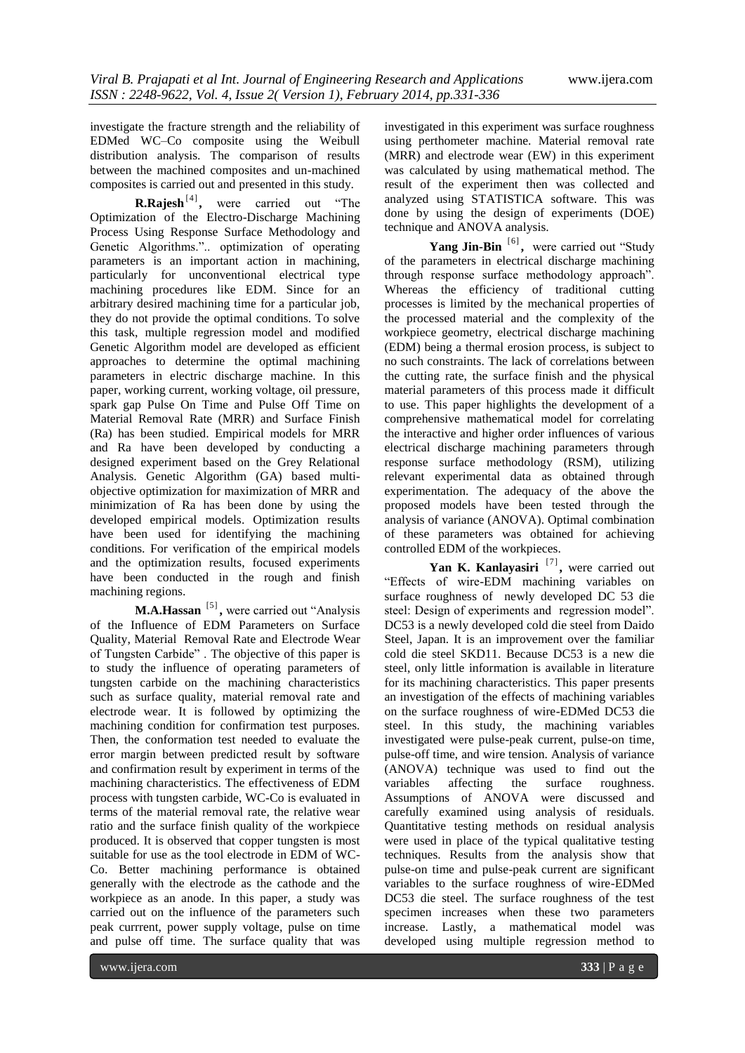investigate the fracture strength and the reliability of EDMed WC–Co composite using the Weibull distribution analysis. The comparison of results between the machined composites and un-machined composites is carried out and presented in this study.

**R.Rajesh** [4] **,** were carried out "The Optimization of the Electro-Discharge Machining Process Using Response Surface Methodology and Genetic Algorithms.".. optimization of operating parameters is an important action in machining, particularly for unconventional electrical type machining procedures like EDM. Since for an arbitrary desired machining time for a particular job, they do not provide the optimal conditions. To solve this task, multiple regression model and modified Genetic Algorithm model are developed as efficient approaches to determine the optimal machining parameters in electric discharge machine. In this paper, working current, working voltage, oil pressure, spark gap Pulse On Time and Pulse Off Time on Material Removal Rate (MRR) and Surface Finish (Ra) has been studied. Empirical models for MRR and Ra have been developed by conducting a designed experiment based on the Grey Relational Analysis. Genetic Algorithm (GA) based multiobjective optimization for maximization of MRR and minimization of Ra has been done by using the developed empirical models. Optimization results have been used for identifying the machining conditions. For verification of the empirical models and the optimization results, focused experiments have been conducted in the rough and finish machining regions.

**M.A.Hassan** [5] **,** were carried out "Analysis of the Influence of EDM Parameters on Surface Quality, Material Removal Rate and Electrode Wear of Tungsten Carbide" . The objective of this paper is to study the influence of operating parameters of tungsten carbide on the machining characteristics such as surface quality, material removal rate and electrode wear. It is followed by optimizing the machining condition for confirmation test purposes. Then, the conformation test needed to evaluate the error margin between predicted result by software and confirmation result by experiment in terms of the machining characteristics. The effectiveness of EDM process with tungsten carbide, WC-Co is evaluated in terms of the material removal rate, the relative wear ratio and the surface finish quality of the workpiece produced. It is observed that copper tungsten is most suitable for use as the tool electrode in EDM of WC-Co. Better machining performance is obtained generally with the electrode as the cathode and the workpiece as an anode. In this paper, a study was carried out on the influence of the parameters such peak currrent, power supply voltage, pulse on time and pulse off time. The surface quality that was

investigated in this experiment was surface roughness using perthometer machine. Material removal rate (MRR) and electrode wear (EW) in this experiment was calculated by using mathematical method. The result of the experiment then was collected and analyzed using STATISTICA software. This was done by using the design of experiments (DOE) technique and ANOVA analysis.

Yang Jin-Bin<sup>[6]</sup>, were carried out "Study of the parameters in electrical discharge machining through response surface methodology approach". Whereas the efficiency of traditional cutting processes is limited by the mechanical properties of the processed material and the complexity of the workpiece geometry, electrical discharge machining (EDM) being a thermal erosion process, is subject to no such constraints. The lack of correlations between the cutting rate, the surface finish and the physical material parameters of this process made it difficult to use. This paper highlights the development of a comprehensive mathematical model for correlating the interactive and higher order influences of various electrical discharge machining parameters through response surface methodology (RSM), utilizing relevant experimental data as obtained through experimentation. The adequacy of the above the proposed models have been tested through the analysis of variance (ANOVA). Optimal combination of these parameters was obtained for achieving controlled EDM of the workpieces.

Yan K. Kanlayasiri<sup>[7]</sup>, were carried out "Effects of wire-EDM machining variables on surface roughness of newly developed DC 53 die steel: Design of experiments and regression model". DC53 is a newly developed cold die steel from Daido Steel, Japan. It is an improvement over the familiar cold die steel SKD11. Because DC53 is a new die steel, only little information is available in literature for its machining characteristics. This paper presents an investigation of the effects of machining variables on the surface roughness of wire-EDMed DC53 die steel. In this study, the machining variables investigated were pulse-peak current, pulse-on time, pulse-off time, and wire tension. Analysis of variance (ANOVA) technique was used to find out the variables affecting the surface roughness. Assumptions of ANOVA were discussed and carefully examined using analysis of residuals. Quantitative testing methods on residual analysis were used in place of the typical qualitative testing techniques. Results from the analysis show that pulse-on time and pulse-peak current are significant variables to the surface roughness of wire-EDMed DC53 die steel. The surface roughness of the test specimen increases when these two parameters increase. Lastly, a mathematical model was developed using multiple regression method to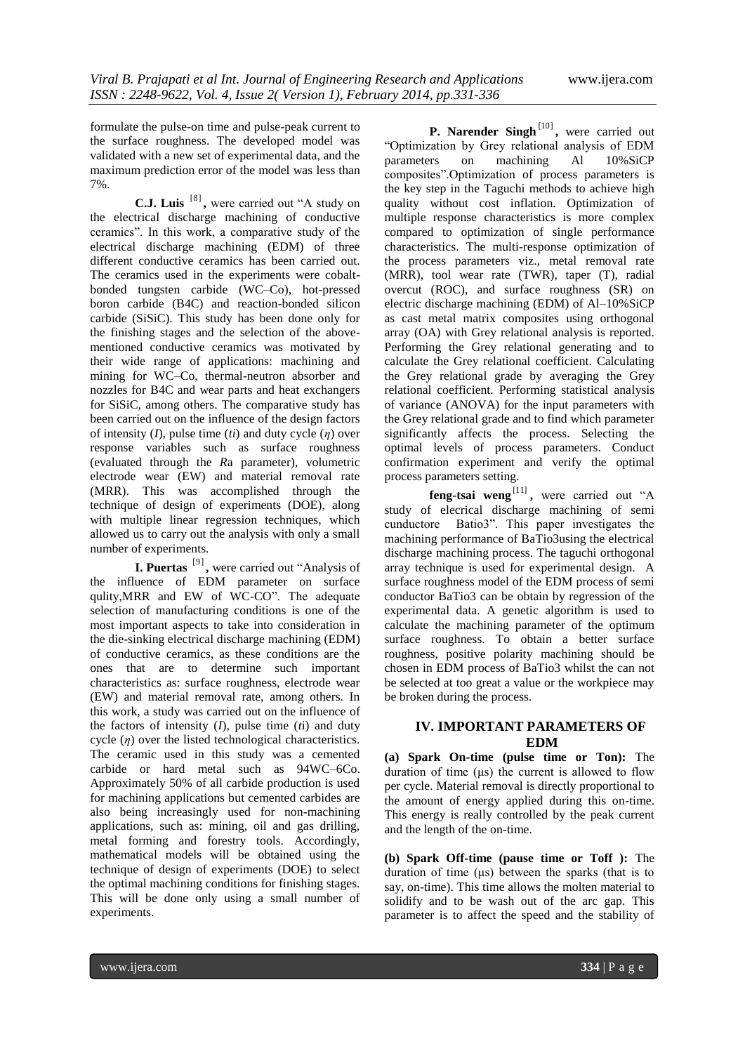formulate the pulse-on time and pulse-peak current to the surface roughness. The developed model was validated with a new set of experimental data, and the maximum prediction error of the model was less than 7%.

**C.J. Luis** <sup>[8]</sup>, were carried out "A study on the electrical discharge machining of conductive ceramics". In this work, a comparative study of the electrical discharge machining (EDM) of three different conductive ceramics has been carried out. The ceramics used in the experiments were cobaltbonded tungsten carbide (WC–Co), hot-pressed boron carbide (B4C) and reaction-bonded silicon carbide (SiSiC). This study has been done only for the finishing stages and the selection of the abovementioned conductive ceramics was motivated by their wide range of applications: machining and mining for WC–Co, thermal-neutron absorber and nozzles for B4C and wear parts and heat exchangers for SiSiC, among others. The comparative study has been carried out on the influence of the design factors of intensity (*I*), pulse time (*ti*) and duty cycle (*η*) over response variables such as surface roughness (evaluated through the *R*a parameter), volumetric electrode wear (EW) and material removal rate (MRR). This was accomplished through the technique of design of experiments (DOE), along with multiple linear regression techniques, which allowed us to carry out the analysis with only a small number of experiments.

**I. Puertas** [9] **,** were carried out "Analysis of the influence of EDM parameter on surface qulity,MRR and EW of WC-CO". The adequate selection of manufacturing conditions is one of the most important aspects to take into consideration in the die-sinking electrical discharge machining (EDM) of conductive ceramics, as these conditions are the ones that are to determine such important characteristics as: surface roughness, electrode wear (EW) and material removal rate, among others. In this work, a study was carried out on the influence of the factors of intensity (*I*), pulse time (*t*i) and duty cycle (*η*) over the listed technological characteristics. The ceramic used in this study was a cemented carbide or hard metal such as 94WC–6Co. Approximately 50% of all carbide production is used for machining applications but cemented carbides are also being increasingly used for non-machining applications, such as: mining, oil and gas drilling, metal forming and forestry tools. Accordingly, mathematical models will be obtained using the technique of design of experiments (DOE) to select the optimal machining conditions for finishing stages. This will be done only using a small number of experiments.

**P.** Narender Singh<sup>[10]</sup>, were carried out "Optimization by Grey relational analysis of EDM parameters on machining Al 10%SiCP composites".Optimization of process parameters is the key step in the Taguchi methods to achieve high quality without cost inflation. Optimization of multiple response characteristics is more complex compared to optimization of single performance characteristics. The multi-response optimization of the process parameters viz., metal removal rate (MRR), tool wear rate (TWR), taper (T), radial overcut (ROC), and surface roughness (SR) on electric discharge machining (EDM) of Al–10%SiCP as cast metal matrix composites using orthogonal array (OA) with Grey relational analysis is reported. Performing the Grey relational generating and to calculate the Grey relational coefficient. Calculating the Grey relational grade by averaging the Grey relational coefficient. Performing statistical analysis of variance (ANOVA) for the input parameters with the Grey relational grade and to find which parameter significantly affects the process. Selecting the optimal levels of process parameters. Conduct confirmation experiment and verify the optimal process parameters setting.

**feng-tsai weng**<sup>[11]</sup>, were carried out "A study of elecrical discharge machining of semi cunductore Batio3". This paper investigates the machining performance of BaTio3using the electrical discharge machining process. The taguchi orthogonal array technique is used for experimental design. A surface roughness model of the EDM process of semi conductor BaTio3 can be obtain by regression of the experimental data. A genetic algorithm is used to calculate the machining parameter of the optimum surface roughness. To obtain a better surface roughness, positive polarity machining should be chosen in EDM process of BaTio3 whilst the can not be selected at too great a value or the workpiece may be broken during the process.

#### **IV. IMPORTANT PARAMETERS OF EDM**

**(a) Spark On-time (pulse time or Ton):** The duration of time (μs) the current is allowed to flow per cycle. Material removal is directly proportional to the amount of energy applied during this on-time. This energy is really controlled by the peak current and the length of the on-time.

**(b) Spark Off-time (pause time or Toff ):** The duration of time (μs) between the sparks (that is to say, on-time). This time allows the molten material to solidify and to be wash out of the arc gap. This parameter is to affect the speed and the stability of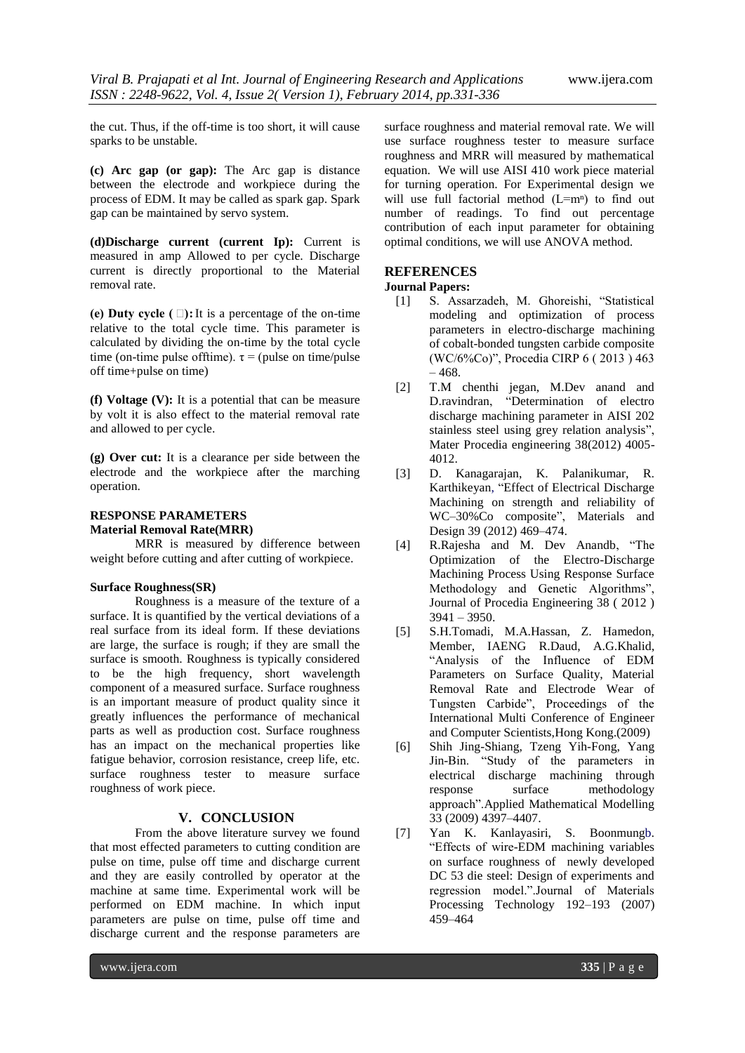the cut. Thus, if the off-time is too short, it will cause sparks to be unstable.

**(c) Arc gap (or gap):** The Arc gap is distance between the electrode and workpiece during the process of EDM. It may be called as spark gap. Spark gap can be maintained by servo system.

**(d)Discharge current (current Ip):** Current is measured in amp Allowed to per cycle. Discharge current is directly proportional to the Material removal rate.

**(e) Duty cycle**  $(\square)$ **:** It is a percentage of the on-time relative to the total cycle time. This parameter is calculated by dividing the on-time by the total cycle time (on-time pulse offtime).  $\tau$  = (pulse on time/pulse off time+pulse on time)

**(f) Voltage (V):** It is a potential that can be measure by volt it is also effect to the material removal rate and allowed to per cycle.

**(g) Over cut:** It is a clearance per side between the electrode and the workpiece after the marching operation.

#### **RESPONSE PARAMETERS Material Removal Rate(MRR)**

MRR is measured by difference between weight before cutting and after cutting of workpiece.

#### **Surface Roughness(SR)**

Roughness is a measure of the texture of a surface. It is quantified by the vertical deviations of a real surface from its ideal form. If these deviations are large, the surface is rough; if they are small the surface is smooth. Roughness is typically considered to be the high frequency, short wavelength component of a measured surface. Surface roughness is an important measure of product quality since it greatly influences the performance of mechanical parts as well as production cost. Surface roughness has an impact on the mechanical properties like fatigue behavior, corrosion resistance, creep life, etc. surface roughness tester to measure surface roughness of work piece.

#### **V. CONCLUSION**

From the above literature survey we found that most effected parameters to cutting condition are pulse on time, pulse off time and discharge current and they are easily controlled by operator at the machine at same time. Experimental work will be performed on EDM machine. In which input parameters are pulse on time, pulse off time and discharge current and the response parameters are

surface roughness and material removal rate. We will use surface roughness tester to measure surface roughness and MRR will measured by mathematical equation. We will use AISI 410 work piece material for turning operation. For Experimental design we will use full factorial method  $(L=m<sup>n</sup>)$  to find out number of readings. To find out percentage contribution of each input parameter for obtaining optimal conditions, we will use ANOVA method.

# **REFERENCES**

#### **Journal Papers:**

- [1] S. Assarzadeh, M. Ghoreishi, "Statistical modeling and optimization of process parameters in electro-discharge machining of cobalt-bonded tungsten carbide composite (WC/6%Co)", Procedia CIRP 6 ( 2013 ) 463  $-468.$
- [2] T.M chenthi jegan, M.Dev anand and D.ravindran, "Determination of electro discharge machining parameter in AISI 202 stainless steel using grey relation analysis", Mater Procedia engineering 38(2012) 4005- 4012.
- [3] D. Kanagarajan, K. Palanikumar, R. Karthikeyan, "Effect of Electrical Discharge Machining on strength and reliability of WC–30%Co composite", Materials and Design 39 (2012) 469–474.
- [4] R.Rajesha and M. Dev Anandb, "The Optimization of the Electro-Discharge Machining Process Using Response Surface Methodology and Genetic Algorithms", Journal of Procedia Engineering 38 ( 2012 ) 3941 – 3950.
- [5] S.H.Tomadi, M.A.Hassan, Z. Hamedon, Member, IAENG R.Daud, A.G.Khalid, "Analysis of the Influence of EDM Parameters on Surface Quality, Material Removal Rate and Electrode Wear of Tungsten Carbide", Proceedings of the International Multi Conference of Engineer and Computer Scientists,Hong Kong.(2009)
- [6] Shih Jing-Shiang, Tzeng Yih-Fong, Yang Jin-Bin. "Study of the parameters in electrical discharge machining through response surface methodology approach".Applied Mathematical Modelling 33 (2009) 4397–4407.
- [7] Yan K. Kanlayasiri, S. Boonmungb. "Effects of wire-EDM machining variables on surface roughness of newly developed DC 53 die steel: Design of experiments and regression model.".Journal of Materials Processing Technology 192–193 (2007) 459–464